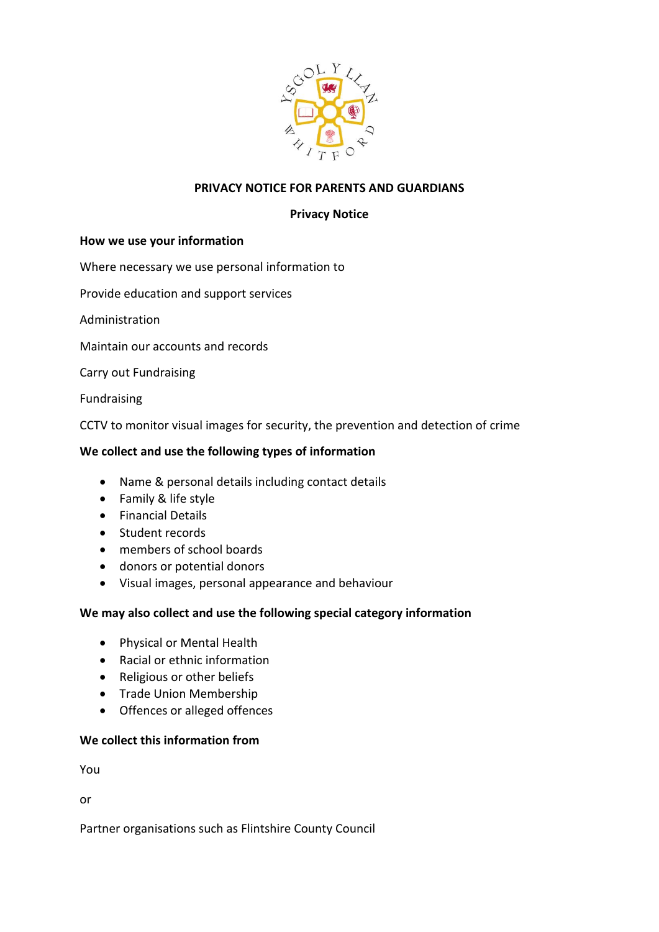

# **PRIVACY NOTICE FOR PARENTS AND GUARDIANS**

### **Privacy Notice**

#### **How we use your information**

Where necessary we use personal information to

Provide education and support services

Administration

Maintain our accounts and records

Carry out Fundraising

Fundraising

CCTV to monitor visual images for security, the prevention and detection of crime

#### **We collect and use the following types of information**

- Name & personal details including contact details
- Family & life style
- Financial Details
- Student records
- members of school boards
- donors or potential donors
- Visual images, personal appearance and behaviour

### **We may also collect and use the following special category information**

- Physical or Mental Health
- Racial or ethnic information
- Religious or other beliefs
- Trade Union Membership
- Offences or alleged offences

### **We collect this information from**

You

or

Partner organisations such as Flintshire County Council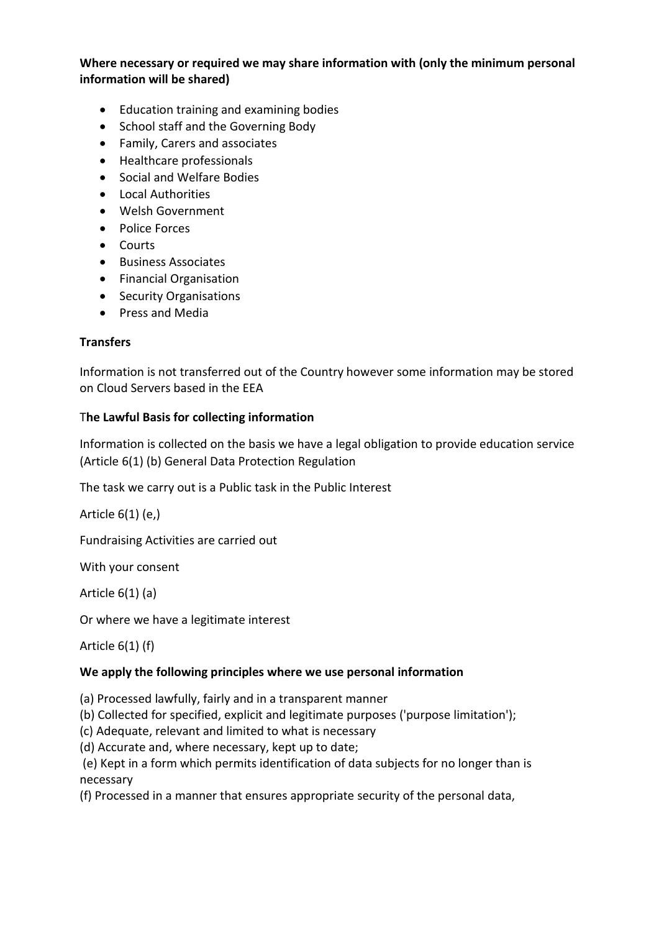# **Where necessary or required we may share information with (only the minimum personal information will be shared)**

- Education training and examining bodies
- School staff and the Governing Body
- Family, Carers and associates
- Healthcare professionals
- Social and Welfare Bodies
- Local Authorities
- Welsh Government
- Police Forces
- Courts
- Business Associates
- Financial Organisation
- Security Organisations
- Press and Media

# **Transfers**

Information is not transferred out of the Country however some information may be stored on Cloud Servers based in the EEA

### T**he Lawful Basis for collecting information**

Information is collected on the basis we have a legal obligation to provide education service (Article 6(1) (b) General Data Protection Regulation

The task we carry out is a Public task in the Public Interest

Article 6(1) (e,)

Fundraising Activities are carried out

With your consent

Article 6(1) (a)

Or where we have a legitimate interest

Article 6(1) (f)

### **We apply the following principles where we use personal information**

(a) Processed lawfully, fairly and in a transparent manner

(b) Collected for specified, explicit and legitimate purposes ('purpose limitation');

(c) Adequate, relevant and limited to what is necessary

(d) Accurate and, where necessary, kept up to date;

(e) Kept in a form which permits identification of data subjects for no longer than is necessary

(f) Processed in a manner that ensures appropriate security of the personal data,